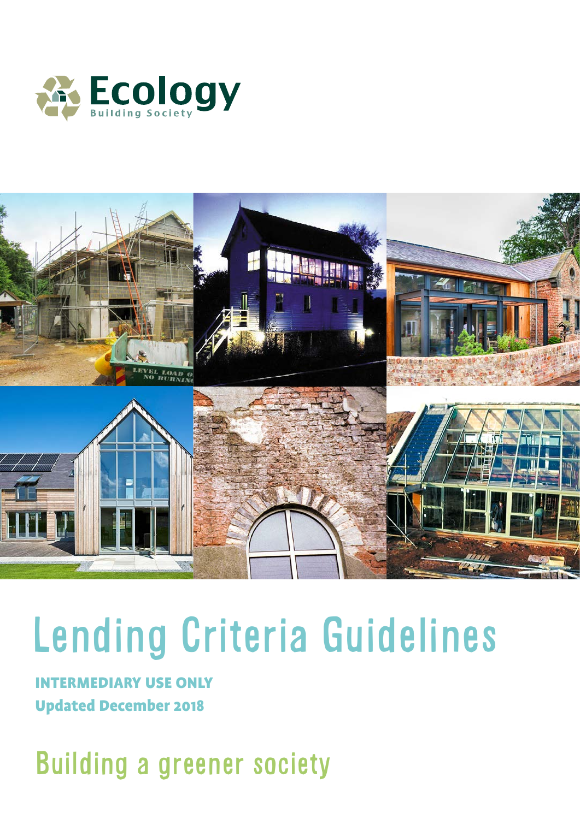



# Lending Criteria Guidelines

INTERMEDIARY USE ONLY Updated December 2018

# Building a greener society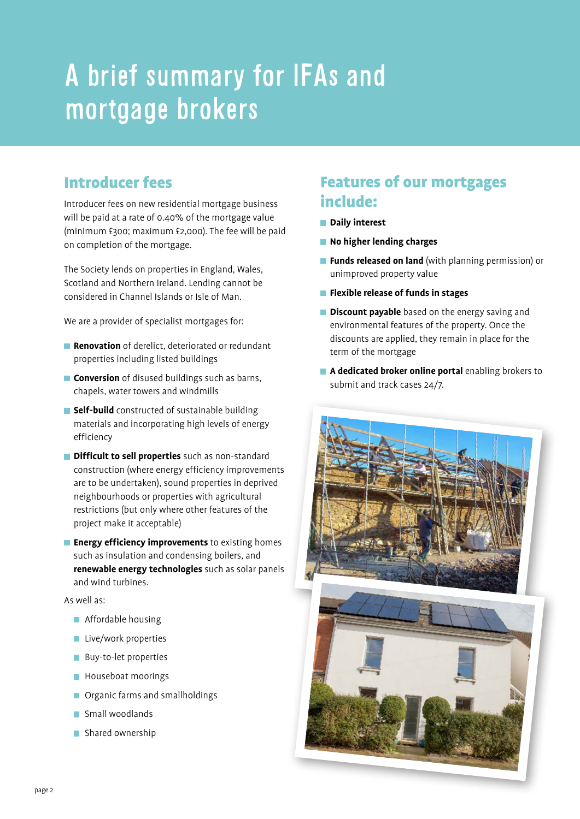# A brief summary for IFAs and mortgage brokers

## Introducer fees

Introducer fees on new residential mortgage business will be paid at a rate of 0.40% of the mortgage value (minimum £300; maximum £2,000). The fee will be paid on completion of the mortgage.

The Society lends on properties in England, Wales, Scotland and Northern Ireland. Lending cannot be considered in Channel Islands or Isle of Man.

We are a provider of specialist mortgages for:

- **Renovation** of derelict, deteriorated or redundant properties including listed buildings
- **Conversion** of disused buildings such as barns, chapels, water towers and windmills
- **Self-build** constructed of sustainable building materials and incorporating high levels of energy efficiency
- **Difficult to sell properties** such as non-standard construction (where energy efficiency improvements are to be undertaken), sound properties in deprived neighbourhoods or properties with agricultural restrictions (but only where other features of the project make it acceptable)
- **Energy efficiency improvements** to existing homes such as insulation and condensing boilers, and **renewable energy technologies** such as solar panels and wind turbines.

As well as:

- **Affordable housing**
- **Live/work properties**
- **Buy-to-let properties**
- **Houseboat moorings**
- **Organic farms and smallholdings**
- **Small woodlands**
- Shared ownership

## Features of our mortgages include:

- **Daily interest**
- **No higher lending charges**
- **Funds released on land** (with planning permission) or unimproved property value
- **Flexible release of funds in stages**
- **Discount payable** based on the energy saving and environmental features of the property. Once the discounts are applied, they remain in place for the term of the mortgage
- **A dedicated broker online portal** enabling brokers to submit and track cases 24/7.



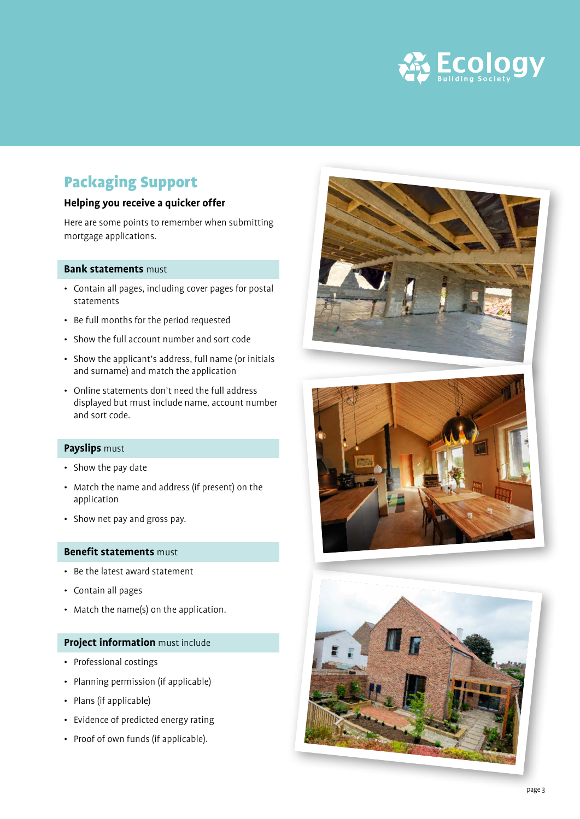

## Packaging Support

#### **Helping you receive a quicker offer**

Here are some points to remember when submitting mortgage applications.

#### **Bank statements** must

- Contain all pages, including cover pages for postal statements
- Be full months for the period requested
- Show the full account number and sort code
- Show the applicant's address, full name (or initials and surname) and match the application
- Online statements don't need the full address displayed but must include name, account number and sort code.

#### **Payslips** must

- Show the pay date
- Match the name and address (if present) on the application
- Show net pay and gross pay.

#### **Benefit statements** must

- Be the latest award statement
- Contain all pages
- Match the name(s) on the application.

#### **Project information** must include

- Professional costings
- Planning permission (if applicable)
- Plans (if applicable)
- Evidence of predicted energy rating
- Proof of own funds (if applicable).





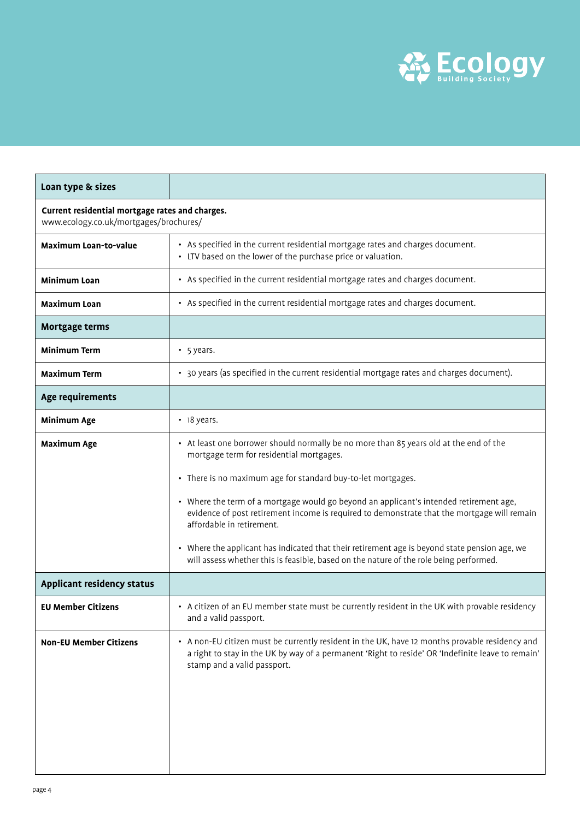

| Loan type & sizes                                                                         |                                                                                                                                                                                                                                    |  |
|-------------------------------------------------------------------------------------------|------------------------------------------------------------------------------------------------------------------------------------------------------------------------------------------------------------------------------------|--|
| Current residential mortgage rates and charges.<br>www.ecology.co.uk/mortgages/brochures/ |                                                                                                                                                                                                                                    |  |
| <b>Maximum Loan-to-value</b>                                                              | • As specified in the current residential mortgage rates and charges document.<br>• LTV based on the lower of the purchase price or valuation.                                                                                     |  |
| <b>Minimum Loan</b>                                                                       | • As specified in the current residential mortgage rates and charges document.                                                                                                                                                     |  |
| Maximum Loan                                                                              | • As specified in the current residential mortgage rates and charges document.                                                                                                                                                     |  |
| <b>Mortgage terms</b>                                                                     |                                                                                                                                                                                                                                    |  |
| <b>Minimum Term</b>                                                                       | $\cdot$ 5 years.                                                                                                                                                                                                                   |  |
| <b>Maximum Term</b>                                                                       | • 30 years (as specified in the current residential mortgage rates and charges document).                                                                                                                                          |  |
| Age requirements                                                                          |                                                                                                                                                                                                                                    |  |
| Minimum Age                                                                               | $\cdot$ 18 years.                                                                                                                                                                                                                  |  |
| <b>Maximum Age</b>                                                                        | • At least one borrower should normally be no more than 85 years old at the end of the<br>mortgage term for residential mortgages.                                                                                                 |  |
|                                                                                           | • There is no maximum age for standard buy-to-let mortgages.                                                                                                                                                                       |  |
|                                                                                           | • Where the term of a mortgage would go beyond an applicant's intended retirement age,<br>evidence of post retirement income is required to demonstrate that the mortgage will remain<br>affordable in retirement.                 |  |
|                                                                                           | • Where the applicant has indicated that their retirement age is beyond state pension age, we<br>will assess whether this is feasible, based on the nature of the role being performed.                                            |  |
| <b>Applicant residency status</b>                                                         |                                                                                                                                                                                                                                    |  |
| <b>EU Member Citizens</b>                                                                 | • A citizen of an EU member state must be currently resident in the UK with provable residency<br>and a valid passport.                                                                                                            |  |
| <b>Non-EU Member Citizens</b>                                                             | • A non-EU citizen must be currently resident in the UK, have 12 months provable residency and<br>a right to stay in the UK by way of a permanent 'Right to reside' OR 'Indefinite leave to remain'<br>stamp and a valid passport. |  |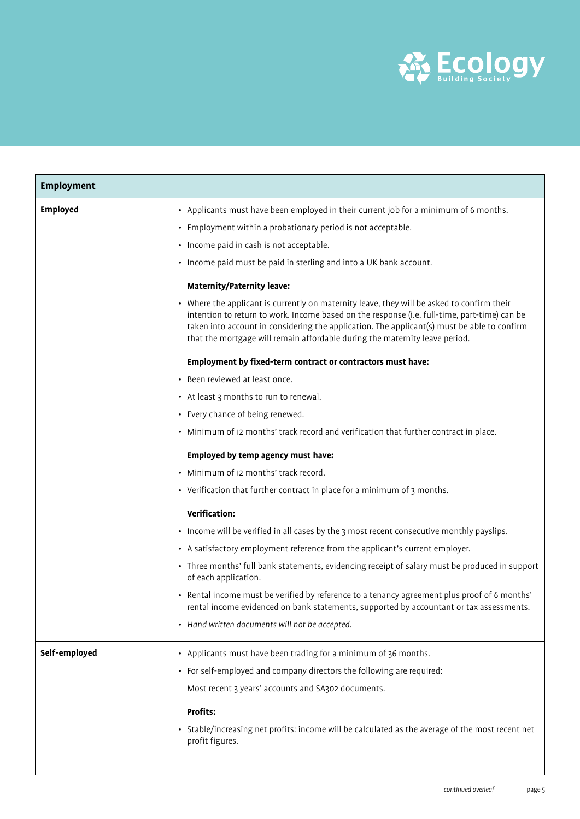

| <b>Employment</b> |                                                                                                                                                                                                                                                                                                                                                                          |
|-------------------|--------------------------------------------------------------------------------------------------------------------------------------------------------------------------------------------------------------------------------------------------------------------------------------------------------------------------------------------------------------------------|
| <b>Employed</b>   | • Applicants must have been employed in their current job for a minimum of 6 months.                                                                                                                                                                                                                                                                                     |
|                   | • Employment within a probationary period is not acceptable.                                                                                                                                                                                                                                                                                                             |
|                   | • Income paid in cash is not acceptable.                                                                                                                                                                                                                                                                                                                                 |
|                   | • Income paid must be paid in sterling and into a UK bank account.                                                                                                                                                                                                                                                                                                       |
|                   | <b>Maternity/Paternity leave:</b>                                                                                                                                                                                                                                                                                                                                        |
|                   | • Where the applicant is currently on maternity leave, they will be asked to confirm their<br>intention to return to work. Income based on the response (i.e. full-time, part-time) can be<br>taken into account in considering the application. The applicant(s) must be able to confirm<br>that the mortgage will remain affordable during the maternity leave period. |
|                   | Employment by fixed-term contract or contractors must have:                                                                                                                                                                                                                                                                                                              |
|                   | • Been reviewed at least once.                                                                                                                                                                                                                                                                                                                                           |
|                   | • At least 3 months to run to renewal.                                                                                                                                                                                                                                                                                                                                   |
|                   | • Every chance of being renewed.                                                                                                                                                                                                                                                                                                                                         |
|                   | • Minimum of 12 months' track record and verification that further contract in place.                                                                                                                                                                                                                                                                                    |
|                   | Employed by temp agency must have:                                                                                                                                                                                                                                                                                                                                       |
|                   | • Minimum of 12 months' track record.                                                                                                                                                                                                                                                                                                                                    |
|                   | • Verification that further contract in place for a minimum of 3 months.                                                                                                                                                                                                                                                                                                 |
|                   | Verification:                                                                                                                                                                                                                                                                                                                                                            |
|                   | • Income will be verified in all cases by the 3 most recent consecutive monthly payslips.                                                                                                                                                                                                                                                                                |
|                   | • A satisfactory employment reference from the applicant's current employer.                                                                                                                                                                                                                                                                                             |
|                   | • Three months' full bank statements, evidencing receipt of salary must be produced in support<br>of each application.                                                                                                                                                                                                                                                   |
|                   | · Rental income must be verified by reference to a tenancy agreement plus proof of 6 months'<br>rental income evidenced on bank statements, supported by accountant or tax assessments.                                                                                                                                                                                  |
|                   | • Hand written documents will not be accepted.                                                                                                                                                                                                                                                                                                                           |
| Self-employed     | • Applicants must have been trading for a minimum of 36 months.                                                                                                                                                                                                                                                                                                          |
|                   | • For self-employed and company directors the following are required:                                                                                                                                                                                                                                                                                                    |
|                   | Most recent 3 years' accounts and SA302 documents.                                                                                                                                                                                                                                                                                                                       |
|                   | Profits:                                                                                                                                                                                                                                                                                                                                                                 |
|                   | • Stable/increasing net profits: income will be calculated as the average of the most recent net<br>profit figures.                                                                                                                                                                                                                                                      |
|                   |                                                                                                                                                                                                                                                                                                                                                                          |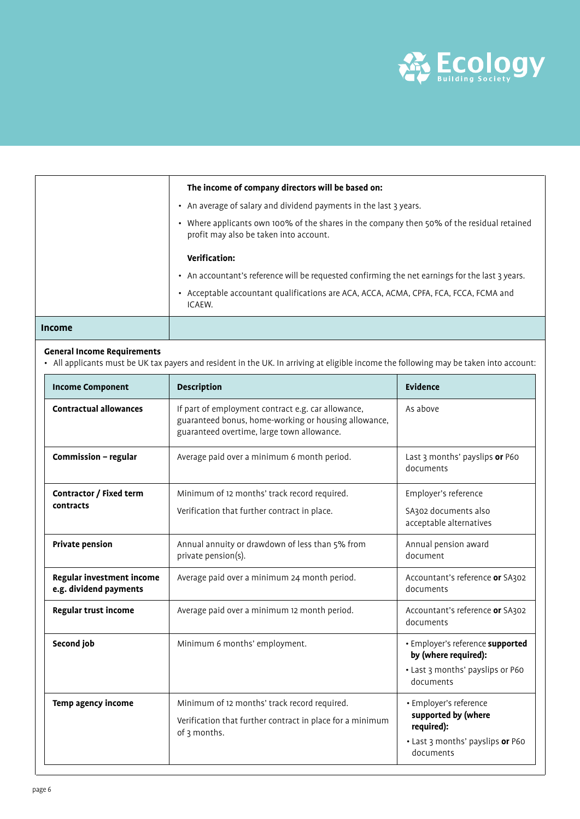

|        | The income of company directors will be based on:                                                                                  |
|--------|------------------------------------------------------------------------------------------------------------------------------------|
|        | • An average of salary and dividend payments in the last 3 years.                                                                  |
|        | Where applicants own 100% of the shares in the company then 50% of the residual retained<br>profit may also be taken into account. |
|        | <b>Verification:</b>                                                                                                               |
|        | • An accountant's reference will be requested confirming the net earnings for the last 3 years.                                    |
|        | Acceptable accountant qualifications are ACA, ACCA, ACMA, CPFA, FCA, FCCA, FCMA and<br>ICAEW.                                      |
| Income |                                                                                                                                    |

#### **General Income Requirements**

• All applicants must be UK tax payers and resident in the UK. In arriving at eligible income the following may be taken into account:

| <b>Income Component</b>                                    | <b>Description</b>                                                                                                                                                   | <b>Evidence</b>                                          |  |
|------------------------------------------------------------|----------------------------------------------------------------------------------------------------------------------------------------------------------------------|----------------------------------------------------------|--|
| <b>Contractual allowances</b>                              | If part of employment contract e.g. car allowance,<br>As above<br>guaranteed bonus, home-working or housing allowance,<br>guaranteed overtime, large town allowance. |                                                          |  |
| Commission - regular                                       | Average paid over a minimum 6 month period.                                                                                                                          | Last 3 months' payslips or P60<br>documents              |  |
| Contractor / Fixed term                                    | Minimum of 12 months' track record required.                                                                                                                         | Employer's reference                                     |  |
| contracts                                                  | Verification that further contract in place.                                                                                                                         | SA302 documents also<br>acceptable alternatives          |  |
| <b>Private pension</b>                                     | Annual annuity or drawdown of less than 5% from<br>private pension(s).                                                                                               | Annual pension award<br>document                         |  |
| <b>Regular investment income</b><br>e.g. dividend payments | Average paid over a minimum 24 month period.                                                                                                                         | Accountant's reference or SA302<br>documents             |  |
| Regular trust income                                       | Average paid over a minimum 12 month period.                                                                                                                         | Accountant's reference or SA302<br>documents             |  |
| Second job                                                 | Minimum 6 months' employment.                                                                                                                                        | · Employer's reference supported<br>by (where required): |  |
|                                                            |                                                                                                                                                                      | • Last 3 months' payslips or P60<br>documents            |  |
| Temp agency income                                         | Minimum of 12 months' track record required.                                                                                                                         | · Employer's reference                                   |  |
|                                                            | Verification that further contract in place for a minimum<br>of 3 months.                                                                                            | supported by (where<br>required):                        |  |
|                                                            |                                                                                                                                                                      | • Last 3 months' payslips or P60<br>documents            |  |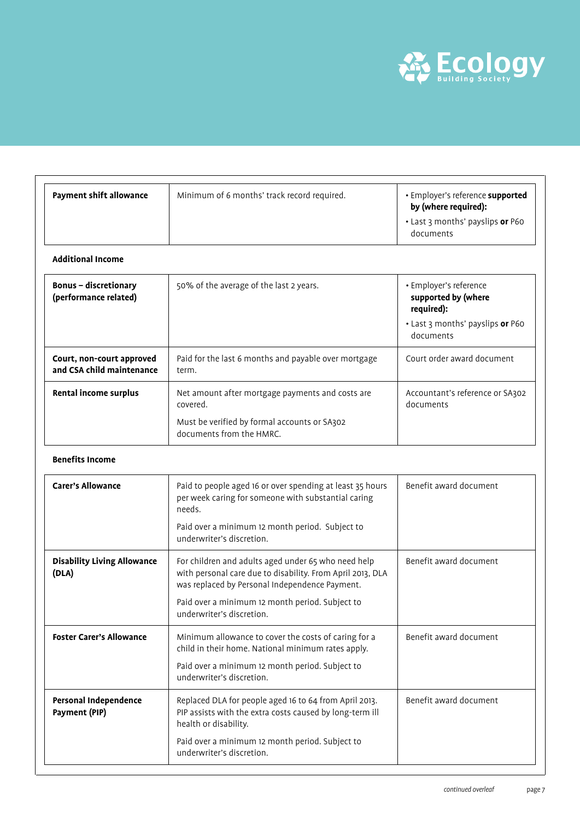

| Payment shift allowance                                | Minimum of 6 months' track record required.                                                                                              | · Employer's reference supported<br>by (where required):<br>• Last 3 months' payslips or P60<br>documents |
|--------------------------------------------------------|------------------------------------------------------------------------------------------------------------------------------------------|-----------------------------------------------------------------------------------------------------------|
| <b>Additional Income</b>                               |                                                                                                                                          |                                                                                                           |
| <b>Bonus - discretionary</b><br>(performance related)  | 50% of the average of the last 2 years.                                                                                                  | • Employer's reference<br>supported by (where<br>required):<br>• Last 3 months' payslips or P60           |
|                                                        |                                                                                                                                          | documents                                                                                                 |
| Court, non-court approved<br>and CSA child maintenance | Paid for the last 6 months and payable over mortgage<br>term.                                                                            | Court order award document                                                                                |
| Rental income surplus                                  | Net amount after mortgage payments and costs are<br>covered.<br>Must be verified by formal accounts or SA302<br>documents from the HMRC. | Accountant's reference or SA302<br>documents                                                              |

#### **Benefits Income**

| <b>Carer's Allowance</b>                    | Paid to people aged 16 or over spending at least 35 hours<br>per week caring for someone with substantial caring<br>needs.<br>Paid over a minimum 12 month period. Subject to<br>underwriter's discretion.                                          | Benefit award document |
|---------------------------------------------|-----------------------------------------------------------------------------------------------------------------------------------------------------------------------------------------------------------------------------------------------------|------------------------|
| <b>Disability Living Allowance</b><br>(DLA) | For children and adults aged under 65 who need help<br>with personal care due to disability. From April 2013, DLA<br>was replaced by Personal Independence Payment.<br>Paid over a minimum 12 month period. Subject to<br>underwriter's discretion. | Benefit award document |
| <b>Foster Carer's Allowance</b>             | Minimum allowance to cover the costs of caring for a<br>child in their home. National minimum rates apply.<br>Paid over a minimum 12 month period. Subject to<br>underwriter's discretion.                                                          | Benefit award document |
| Personal Independence<br>Payment (PIP)      | Replaced DLA for people aged 16 to 64 from April 2013.<br>PIP assists with the extra costs caused by long-term ill<br>health or disability.<br>Paid over a minimum 12 month period. Subject to<br>underwriter's discretion.                         | Benefit award document |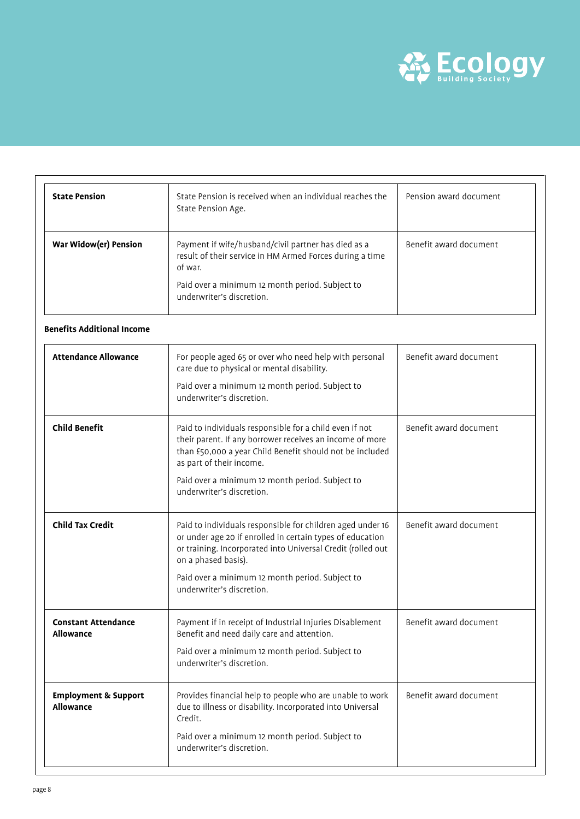

| <b>State Pension</b>  | State Pension is received when an individual reaches the<br>State Pension Age.                                             | Pension award document |
|-----------------------|----------------------------------------------------------------------------------------------------------------------------|------------------------|
| War Widow(er) Pension | Payment if wife/husband/civil partner has died as a<br>result of their service in HM Armed Forces during a time<br>of war. | Benefit award document |
|                       | Paid over a minimum 12 month period. Subject to<br>underwriter's discretion.                                               |                        |

#### **Benefits Additional Income**

| <b>Attendance Allowance</b>                         | For people aged 65 or over who need help with personal<br>care due to physical or mental disability.<br>Paid over a minimum 12 month period. Subject to<br>underwriter's discretion.                                                                                                          | Benefit award document |
|-----------------------------------------------------|-----------------------------------------------------------------------------------------------------------------------------------------------------------------------------------------------------------------------------------------------------------------------------------------------|------------------------|
| <b>Child Benefit</b>                                | Paid to individuals responsible for a child even if not<br>their parent. If any borrower receives an income of more<br>than £50,000 a year Child Benefit should not be included<br>as part of their income.<br>Paid over a minimum 12 month period. Subject to<br>underwriter's discretion.   | Benefit award document |
| <b>Child Tax Credit</b>                             | Paid to individuals responsible for children aged under 16<br>or under age 20 if enrolled in certain types of education<br>or training. Incorporated into Universal Credit (rolled out<br>on a phased basis).<br>Paid over a minimum 12 month period. Subject to<br>underwriter's discretion. | Benefit award document |
| <b>Constant Attendance</b><br><b>Allowance</b>      | Payment if in receipt of Industrial Injuries Disablement<br>Benefit and need daily care and attention.<br>Paid over a minimum 12 month period. Subject to<br>underwriter's discretion.                                                                                                        | Benefit award document |
| <b>Employment &amp; Support</b><br><b>Allowance</b> | Provides financial help to people who are unable to work<br>due to illness or disability. Incorporated into Universal<br>Credit.<br>Paid over a minimum 12 month period. Subject to<br>underwriter's discretion.                                                                              | Benefit award document |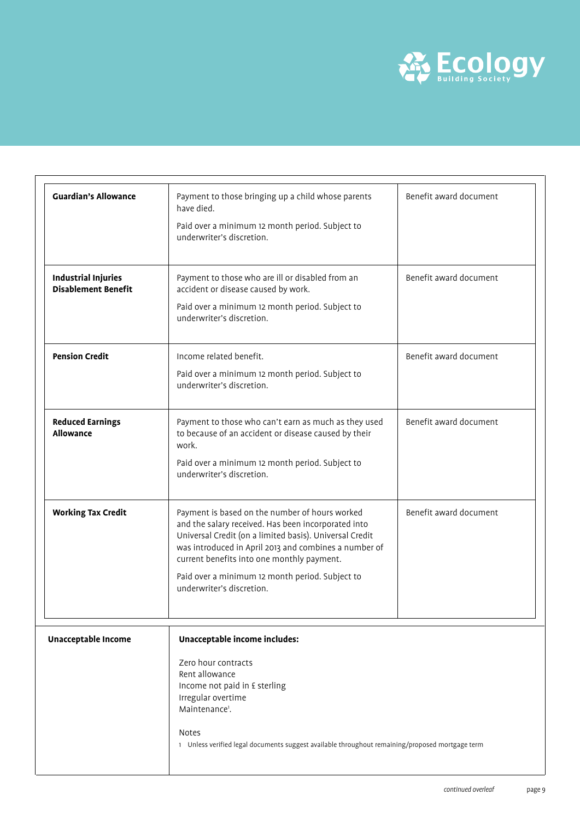

| <b>Guardian's Allowance</b>                              | Payment to those bringing up a child whose parents<br>have died.<br>Paid over a minimum 12 month period. Subject to<br>underwriter's discretion.                                                                                                                                                                                                        | Benefit award document |
|----------------------------------------------------------|---------------------------------------------------------------------------------------------------------------------------------------------------------------------------------------------------------------------------------------------------------------------------------------------------------------------------------------------------------|------------------------|
| <b>Industrial Injuries</b><br><b>Disablement Benefit</b> | Payment to those who are ill or disabled from an<br>accident or disease caused by work.<br>Paid over a minimum 12 month period. Subject to<br>underwriter's discretion.                                                                                                                                                                                 | Benefit award document |
| <b>Pension Credit</b>                                    | Income related benefit.<br>Paid over a minimum 12 month period. Subject to<br>underwriter's discretion.                                                                                                                                                                                                                                                 | Benefit award document |
| <b>Reduced Earnings</b><br><b>Allowance</b>              | Payment to those who can't earn as much as they used<br>to because of an accident or disease caused by their<br>work.<br>Paid over a minimum 12 month period. Subject to<br>underwriter's discretion.                                                                                                                                                   | Benefit award document |
| <b>Working Tax Credit</b>                                | Payment is based on the number of hours worked<br>and the salary received. Has been incorporated into<br>Universal Credit (on a limited basis). Universal Credit<br>was introduced in April 2013 and combines a number of<br>current benefits into one monthly payment.<br>Paid over a minimum 12 month period. Subject to<br>underwriter's discretion. | Benefit award document |
| <b>Unacceptable Income</b>                               | Unacceptable income includes:<br>Zero hour contracts<br>Rent allowance<br>Income not paid in £ sterling<br>Irregular overtime<br>Maintenance <sup>1</sup> .<br>Notes<br>1 Unless verified legal documents suggest available throughout remaining/proposed mortgage term                                                                                 |                        |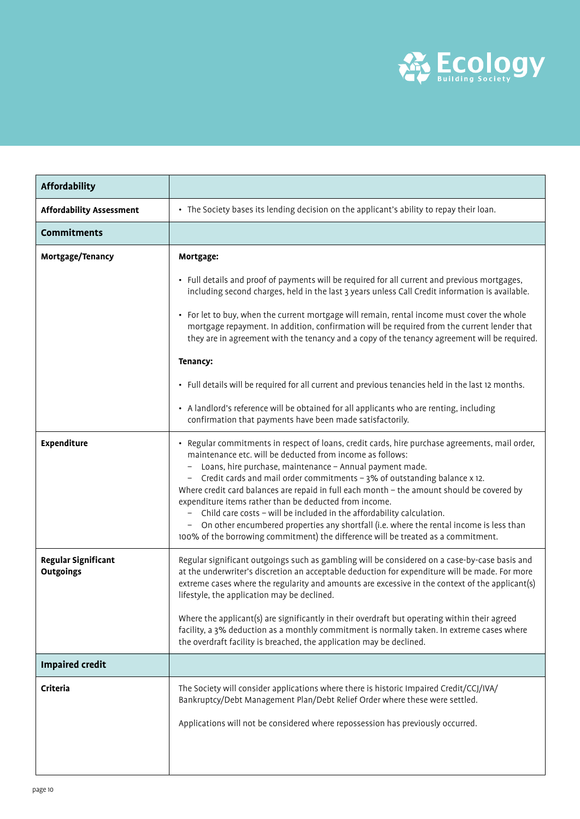

| Affordability                                  |                                                                                                                                                                                                                                                                                                                                                                                                                                                                                                                                                                                                                                                                                                                           |
|------------------------------------------------|---------------------------------------------------------------------------------------------------------------------------------------------------------------------------------------------------------------------------------------------------------------------------------------------------------------------------------------------------------------------------------------------------------------------------------------------------------------------------------------------------------------------------------------------------------------------------------------------------------------------------------------------------------------------------------------------------------------------------|
| <b>Affordability Assessment</b>                | • The Society bases its lending decision on the applicant's ability to repay their loan.                                                                                                                                                                                                                                                                                                                                                                                                                                                                                                                                                                                                                                  |
| <b>Commitments</b>                             |                                                                                                                                                                                                                                                                                                                                                                                                                                                                                                                                                                                                                                                                                                                           |
| Mortgage/Tenancy                               | Mortgage:                                                                                                                                                                                                                                                                                                                                                                                                                                                                                                                                                                                                                                                                                                                 |
|                                                | • Full details and proof of payments will be required for all current and previous mortgages,<br>including second charges, held in the last 3 years unless Call Credit information is available.                                                                                                                                                                                                                                                                                                                                                                                                                                                                                                                          |
|                                                | • For let to buy, when the current mortgage will remain, rental income must cover the whole<br>mortgage repayment. In addition, confirmation will be required from the current lender that<br>they are in agreement with the tenancy and a copy of the tenancy agreement will be required.                                                                                                                                                                                                                                                                                                                                                                                                                                |
|                                                | Tenancy:                                                                                                                                                                                                                                                                                                                                                                                                                                                                                                                                                                                                                                                                                                                  |
|                                                | • Full details will be required for all current and previous tenancies held in the last 12 months.                                                                                                                                                                                                                                                                                                                                                                                                                                                                                                                                                                                                                        |
|                                                | • A landlord's reference will be obtained for all applicants who are renting, including<br>confirmation that payments have been made satisfactorily.                                                                                                                                                                                                                                                                                                                                                                                                                                                                                                                                                                      |
| <b>Expenditure</b>                             | • Regular commitments in respect of loans, credit cards, hire purchase agreements, mail order,<br>maintenance etc. will be deducted from income as follows:<br>Loans, hire purchase, maintenance - Annual payment made.<br>- Credit cards and mail order commitments - 3% of outstanding balance x 12.<br>Where credit card balances are repaid in full each month - the amount should be covered by<br>expenditure items rather than be deducted from income.<br>Child care costs - will be included in the affordability calculation.<br>- On other encumbered properties any shortfall (i.e. where the rental income is less than<br>100% of the borrowing commitment) the difference will be treated as a commitment. |
| <b>Regular Significant</b><br><b>Outgoings</b> | Regular significant outgoings such as gambling will be considered on a case-by-case basis and<br>at the underwriter's discretion an acceptable deduction for expenditure will be made. For more<br>extreme cases where the regularity and amounts are excessive in the context of the applicant(s)<br>lifestyle, the application may be declined.<br>Where the applicant(s) are significantly in their overdraft but operating within their agreed                                                                                                                                                                                                                                                                        |
|                                                | facility, a 3% deduction as a monthly commitment is normally taken. In extreme cases where<br>the overdraft facility is breached, the application may be declined.                                                                                                                                                                                                                                                                                                                                                                                                                                                                                                                                                        |
| <b>Impaired credit</b>                         |                                                                                                                                                                                                                                                                                                                                                                                                                                                                                                                                                                                                                                                                                                                           |
| Criteria                                       | The Society will consider applications where there is historic Impaired Credit/CCJ/IVA/<br>Bankruptcy/Debt Management Plan/Debt Relief Order where these were settled.                                                                                                                                                                                                                                                                                                                                                                                                                                                                                                                                                    |
|                                                | Applications will not be considered where repossession has previously occurred.                                                                                                                                                                                                                                                                                                                                                                                                                                                                                                                                                                                                                                           |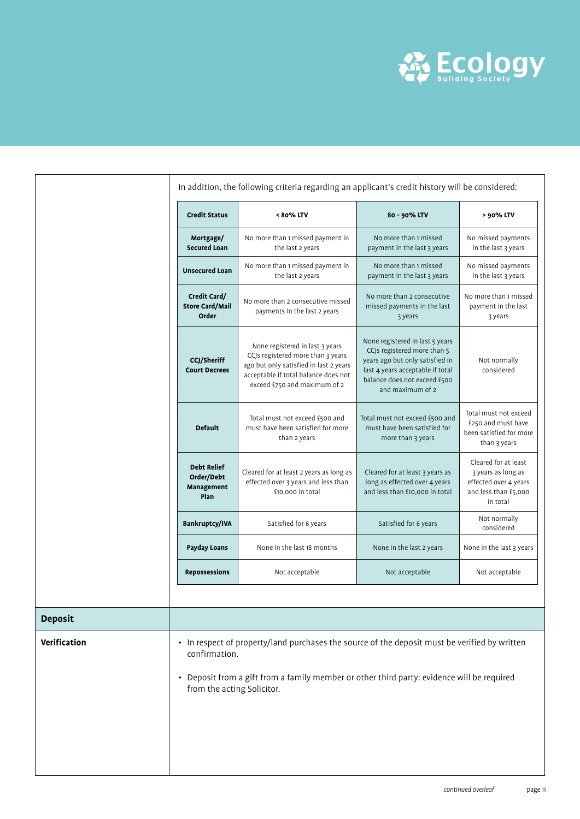

| Mortgage/                                              | < 80% LTV                                                                                                                                                                              | 80 - 90% LTV                                                                                                                                                                              | > 90% LTV                                                                                               |
|--------------------------------------------------------|----------------------------------------------------------------------------------------------------------------------------------------------------------------------------------------|-------------------------------------------------------------------------------------------------------------------------------------------------------------------------------------------|---------------------------------------------------------------------------------------------------------|
| <b>Secured Loan</b>                                    | No more than 1 missed payment in<br>the last 2 years                                                                                                                                   | No more than 1 missed<br>payment in the last 3 years                                                                                                                                      | No missed payments<br>in the last 3 years                                                               |
| <b>Unsecured Loan</b>                                  | No more than 1 missed payment in<br>the last 2 years                                                                                                                                   | No more than 1 missed<br>payment in the last 3 years                                                                                                                                      | No missed payments<br>in the last 3 years                                                               |
| Credit Card/<br><b>Store Card/Mail</b><br>Order        | No more than 2 consecutive missed<br>payments in the last 2 years                                                                                                                      | No more than 2 consecutive<br>missed payments in the last<br>3 years                                                                                                                      | No more than 1 missed<br>payment in the last<br>3 years                                                 |
| CCJ/Sheriff<br><b>Court Decrees</b>                    | None registered in last 3 years<br>CCJs registered more than 3 years<br>ago but only satisfied in last 2 years<br>acceptable if total balance does not<br>exceed £750 and maximum of 2 | None registered in last 5 years<br>CCJs registered more than 5<br>years ago but only satisfied in<br>last 4 years acceptable if total<br>balance does not exceed £500<br>and maximum of 2 | Not normally<br>considered                                                                              |
| <b>Default</b>                                         | Total must not exceed £500 and<br>must have been satisfied for more<br>than 2 years                                                                                                    | Total must not exceed £500 and<br>must have been satisfied for<br>more than 3 years                                                                                                       | Total must not exceed<br>£250 and must have<br>been satisfied for more<br>than 3 years                  |
| <b>Debt Relief</b><br>Order/Debt<br>Management<br>Plan | Cleared for at least 2 years as long as<br>effected over 3 years and less than<br>£10,000 in total                                                                                     | Cleared for at least 3 years as<br>long as effected over 4 years<br>and less than £10,000 in total                                                                                        | Cleared for at least<br>3 years as long as<br>effected over 4 years<br>and less than £5,000<br>in total |
| Bankruptcy/IVA                                         | Satisfied for 6 years                                                                                                                                                                  | Satisfied for 6 years                                                                                                                                                                     | Not normally<br>considered                                                                              |
| <b>Payday Loans</b>                                    | None in the last 18 months                                                                                                                                                             | None in the last 2 years                                                                                                                                                                  | None in the last 3 years                                                                                |
| Repossessions                                          | Not acceptable                                                                                                                                                                         | Not acceptable                                                                                                                                                                            | Not acceptable                                                                                          |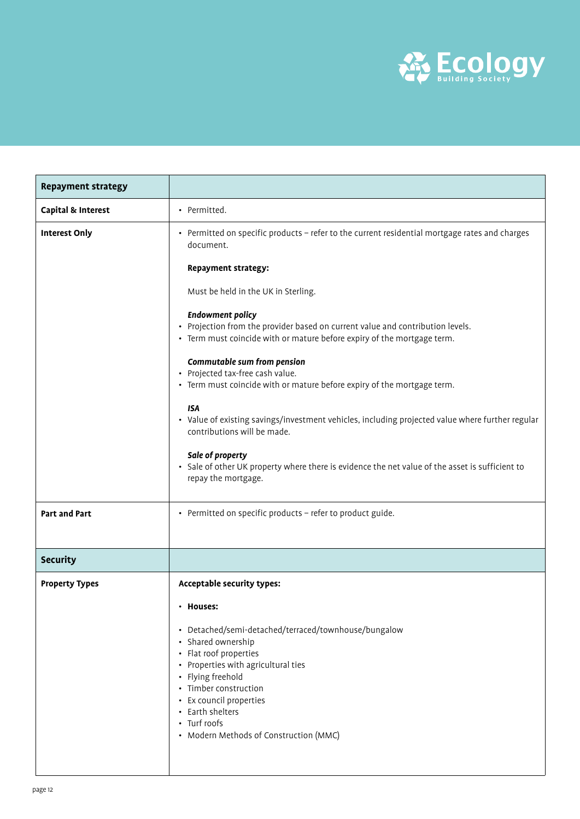

| <b>Repayment strategy</b> |                                                                                                                                                                                                                                                                                                    |
|---------------------------|----------------------------------------------------------------------------------------------------------------------------------------------------------------------------------------------------------------------------------------------------------------------------------------------------|
| Capital & Interest        | • Permitted.                                                                                                                                                                                                                                                                                       |
| <b>Interest Only</b>      | • Permitted on specific products - refer to the current residential mortgage rates and charges<br>document.                                                                                                                                                                                        |
|                           | <b>Repayment strategy:</b>                                                                                                                                                                                                                                                                         |
|                           | Must be held in the UK in Sterling.                                                                                                                                                                                                                                                                |
|                           | <b>Endowment policy</b><br>• Projection from the provider based on current value and contribution levels.<br>• Term must coincide with or mature before expiry of the mortgage term.                                                                                                               |
|                           | Commutable sum from pension                                                                                                                                                                                                                                                                        |
|                           | • Projected tax-free cash value.<br>• Term must coincide with or mature before expiry of the mortgage term.                                                                                                                                                                                        |
|                           | <b>ISA</b><br>• Value of existing savings/investment vehicles, including projected value where further regular<br>contributions will be made.                                                                                                                                                      |
|                           | Sale of property<br>• Sale of other UK property where there is evidence the net value of the asset is sufficient to<br>repay the mortgage.                                                                                                                                                         |
| <b>Part and Part</b>      | • Permitted on specific products - refer to product guide.                                                                                                                                                                                                                                         |
| <b>Security</b>           |                                                                                                                                                                                                                                                                                                    |
| <b>Property Types</b>     | Acceptable security types:                                                                                                                                                                                                                                                                         |
|                           | • Houses:                                                                                                                                                                                                                                                                                          |
|                           | · Detached/semi-detached/terraced/townhouse/bungalow<br>• Shared ownership<br>• Flat roof properties<br>• Properties with agricultural ties<br>• Flying freehold<br>• Timber construction<br>• Ex council properties<br>• Earth shelters<br>• Turf roofs<br>• Modern Methods of Construction (MMC) |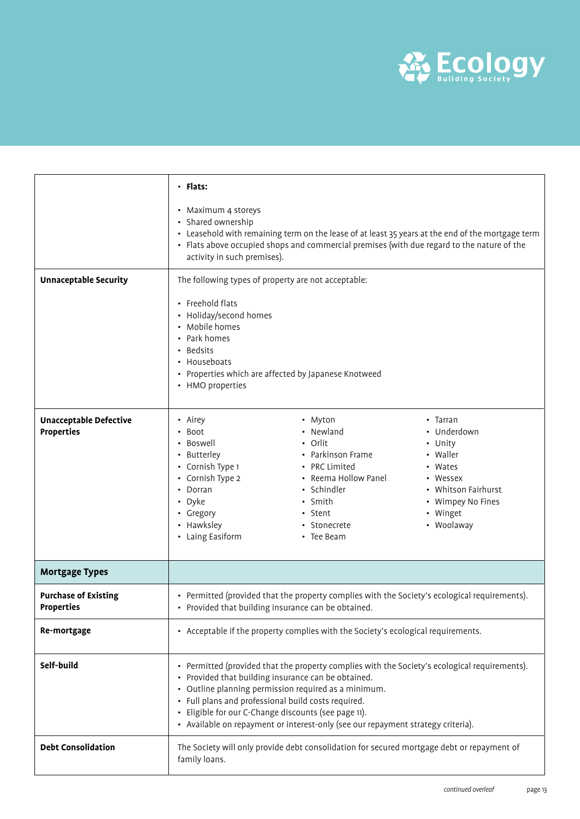

|                                                    | · Flats:                                                                                                                                                                                                                                                                                                                                                                                                        |                                                                                                                                                                        |                                                                                                                                                   |  |  |
|----------------------------------------------------|-----------------------------------------------------------------------------------------------------------------------------------------------------------------------------------------------------------------------------------------------------------------------------------------------------------------------------------------------------------------------------------------------------------------|------------------------------------------------------------------------------------------------------------------------------------------------------------------------|---------------------------------------------------------------------------------------------------------------------------------------------------|--|--|
|                                                    | • Maximum 4 storeys<br>• Shared ownership<br>• Leasehold with remaining term on the lease of at least 35 years at the end of the mortgage term<br>• Flats above occupied shops and commercial premises (with due regard to the nature of the<br>activity in such premises).                                                                                                                                     |                                                                                                                                                                        |                                                                                                                                                   |  |  |
| <b>Unnaceptable Security</b>                       | The following types of property are not acceptable:                                                                                                                                                                                                                                                                                                                                                             |                                                                                                                                                                        |                                                                                                                                                   |  |  |
|                                                    | • Freehold flats<br>• Holiday/second homes<br>• Mobile homes<br>• Park homes<br>• Bedsits<br>• Houseboats<br>• Properties which are affected by Japanese Knotweed<br>• HMO properties                                                                                                                                                                                                                           |                                                                                                                                                                        |                                                                                                                                                   |  |  |
| <b>Unacceptable Defective</b><br><b>Properties</b> | • Airey<br>$\cdot$ Boot<br>• Boswell<br>• Butterley<br>• Cornish Type 1<br>• Cornish Type 2<br>• Dorran<br>• Dyke<br>• Gregory<br>• Hawksley<br>• Laing Easiform                                                                                                                                                                                                                                                | • Myton<br>• Newland<br>• Orlit<br>• Parkinson Frame<br>• PRC Limited<br>• Reema Hollow Panel<br>• Schindler<br>• Smith<br>$\cdot$ Stent<br>• Stonecrete<br>• Tee Beam | $\cdot$ Tarran<br>• Underdown<br>• Unity<br>• Waller<br>• Wates<br>• Wessex<br>• Whitson Fairhurst<br>• Wimpey No Fines<br>• Winget<br>• Woolaway |  |  |
| <b>Mortgage Types</b>                              |                                                                                                                                                                                                                                                                                                                                                                                                                 |                                                                                                                                                                        |                                                                                                                                                   |  |  |
| <b>Purchase of Existing</b><br><b>Properties</b>   | • Permitted (provided that the property complies with the Society's ecological requirements).<br>• Provided that building insurance can be obtained.                                                                                                                                                                                                                                                            |                                                                                                                                                                        |                                                                                                                                                   |  |  |
| Re-mortgage                                        | • Acceptable if the property complies with the Society's ecological requirements.                                                                                                                                                                                                                                                                                                                               |                                                                                                                                                                        |                                                                                                                                                   |  |  |
| Self-build                                         | • Permitted (provided that the property complies with the Society's ecological requirements).<br>• Provided that building insurance can be obtained.<br>• Outline planning permission required as a minimum.<br>• Full plans and professional build costs required.<br>· Eligible for our C-Change discounts (see page 11).<br>• Available on repayment or interest-only (see our repayment strategy criteria). |                                                                                                                                                                        |                                                                                                                                                   |  |  |
| <b>Debt Consolidation</b>                          | The Society will only provide debt consolidation for secured mortgage debt or repayment of<br>family loans.                                                                                                                                                                                                                                                                                                     |                                                                                                                                                                        |                                                                                                                                                   |  |  |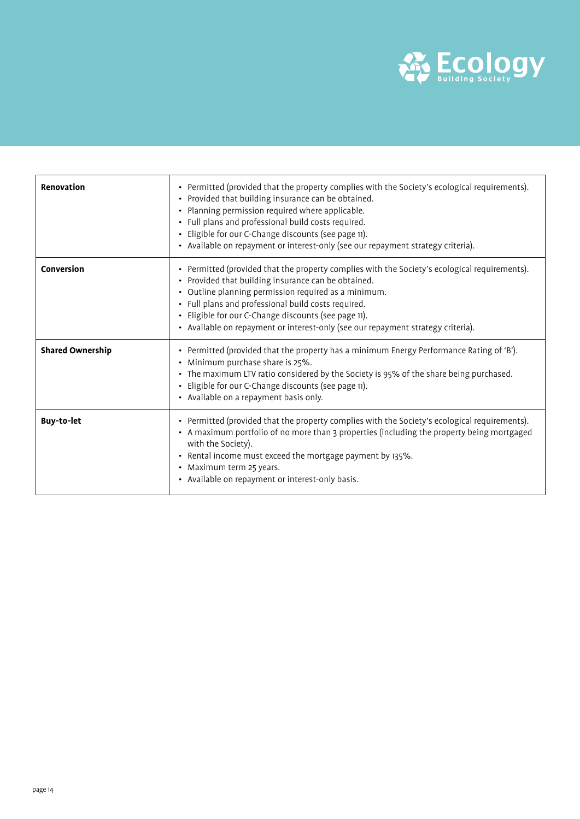

| Renovation              | • Permitted (provided that the property complies with the Society's ecological requirements).<br>• Provided that building insurance can be obtained.<br>• Planning permission required where applicable.<br>• Full plans and professional build costs required.<br>· Eligible for our C-Change discounts (see page 11).<br>• Available on repayment or interest-only (see our repayment strategy criteria).   |
|-------------------------|---------------------------------------------------------------------------------------------------------------------------------------------------------------------------------------------------------------------------------------------------------------------------------------------------------------------------------------------------------------------------------------------------------------|
| Conversion              | • Permitted (provided that the property complies with the Society's ecological requirements).<br>• Provided that building insurance can be obtained.<br>• Outline planning permission required as a minimum.<br>• Full plans and professional build costs required.<br>Eligible for our C-Change discounts (see page 11).<br>• Available on repayment or interest-only (see our repayment strategy criteria). |
| <b>Shared Ownership</b> | • Permitted (provided that the property has a minimum Energy Performance Rating of 'B').<br>• Minimum purchase share is 25%.<br>• The maximum LTV ratio considered by the Society is 95% of the share being purchased.<br>Eligible for our C-Change discounts (see page 11).<br>$\bullet$<br>• Available on a repayment basis only.                                                                           |
| <b>Buy-to-let</b>       | • Permitted (provided that the property complies with the Society's ecological requirements).<br>• A maximum portfolio of no more than 3 properties (including the property being mortgaged<br>with the Society).<br>• Rental income must exceed the mortgage payment by 135%.<br>• Maximum term 25 years.<br>• Available on repayment or interest-only basis.                                                |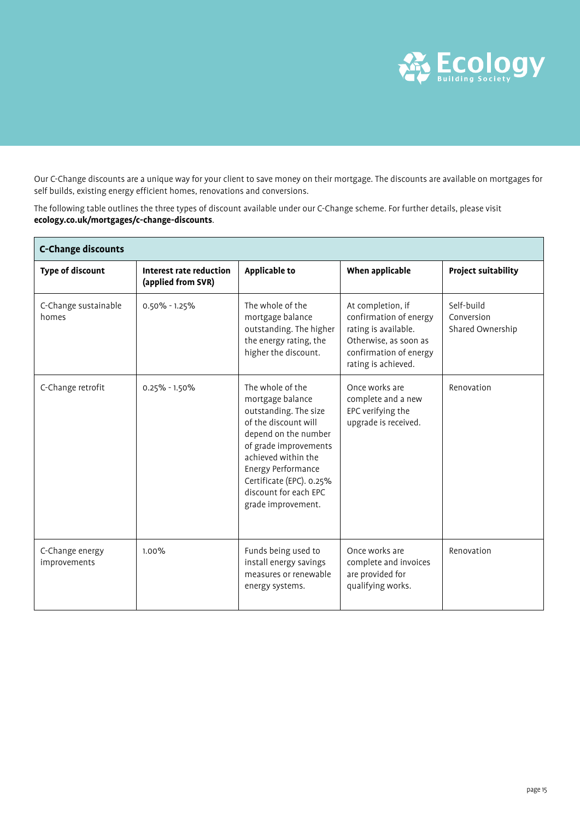

Our C-Change discounts are a unique way for your client to save money on their mortgage. The discounts are available on mortgages for self builds, existing energy efficient homes, renovations and conversions.

The following table outlines the three types of discount available under our C-Change scheme. For further details, please visit **ecology.co.uk/mortgages/c-change-discounts**.

| <b>C-Change discounts</b>       |                                               |                                                                                                                                                                                                                                                                |                                                                                                                                               |                                              |  |  |  |
|---------------------------------|-----------------------------------------------|----------------------------------------------------------------------------------------------------------------------------------------------------------------------------------------------------------------------------------------------------------------|-----------------------------------------------------------------------------------------------------------------------------------------------|----------------------------------------------|--|--|--|
| Type of discount                | Interest rate reduction<br>(applied from SVR) | <b>Applicable to</b>                                                                                                                                                                                                                                           | When applicable                                                                                                                               | <b>Project suitability</b>                   |  |  |  |
| C-Change sustainable<br>homes   | $0.50\% - 1.25\%$                             | The whole of the<br>mortgage balance<br>outstanding. The higher<br>the energy rating, the<br>higher the discount.                                                                                                                                              | At completion, if<br>confirmation of energy<br>rating is available.<br>Otherwise, as soon as<br>confirmation of energy<br>rating is achieved. | Self-build<br>Conversion<br>Shared Ownership |  |  |  |
| C-Change retrofit               | $0.25\% - 1.50\%$                             | The whole of the<br>mortgage balance<br>outstanding. The size<br>of the discount will<br>depend on the number<br>of grade improvements<br>achieved within the<br>Energy Performance<br>Certificate (EPC). 0.25%<br>discount for each EPC<br>grade improvement. | Once works are<br>complete and a new<br>EPC verifying the<br>upgrade is received.                                                             | Renovation                                   |  |  |  |
| C-Change energy<br>improvements | 1.00%                                         | Funds being used to<br>install energy savings<br>measures or renewable<br>energy systems.                                                                                                                                                                      | Once works are<br>complete and invoices<br>are provided for<br>qualifying works.                                                              | Renovation                                   |  |  |  |